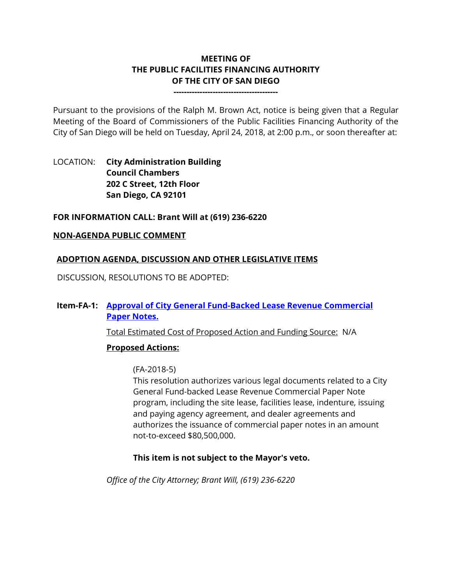# **MEETING OF THE PUBLIC FACILITIES FINANCING AUTHORITY OF THE CITY OF SAN DIEGO**

**----------------------------------------**

Pursuant to the provisions of the Ralph M. Brown Act, notice is being given that a Regular Meeting of the Board of Commissioners of the Public Facilities Financing Authority of the City of San Diego will be held on Tuesday, April 24, 2018, at 2:00 p.m., or soon thereafter at:

# LOCATION: **City Administration Building Council Chambers 202 C Street, 12th Floor San Diego, CA 92101**

### **FOR INFORMATION CALL: Brant Will at (619) 236-6220**

### **NON-AGENDA PUBLIC COMMENT**

### **ADOPTION AGENDA, DISCUSSION AND OTHER LEGISLATIVE ITEMS**

DISCUSSION, RESOLUTIONS TO BE ADOPTED:

# **Item-FA-1: [Approval of City General Fund-Backed Lease Revenue Commercial](http://www.sandiego.gov/sites/default/files/attachments_combined.pdf)  [Paper Notes.](http://www.sandiego.gov/sites/default/files/attachments_combined.pdf)**

Total Estimated Cost of Proposed Action and Funding Source: N/A

# **Proposed Actions:**

#### (FA-2018-5)

This resolution authorizes various legal documents related to a City General Fund-backed Lease Revenue Commercial Paper Note program, including the site lease, facilities lease, indenture, issuing and paying agency agreement, and dealer agreements and authorizes the issuance of commercial paper notes in an amount not-to-exceed \$80,500,000.

# **This item is not subject to the Mayor's veto.**

*Office of the City Attorney; Brant Will, (619) 236-6220*